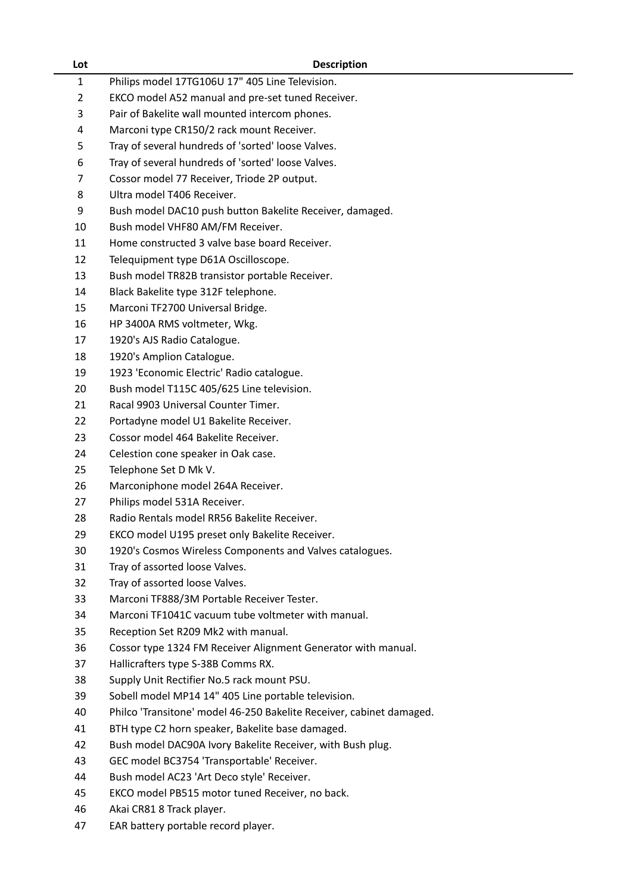| Lot            | <b>Description</b>                                                                       |
|----------------|------------------------------------------------------------------------------------------|
| $\mathbf{1}$   | Philips model 17TG106U 17" 405 Line Television.                                          |
| $\overline{2}$ | EKCO model A52 manual and pre-set tuned Receiver.                                        |
| 3              | Pair of Bakelite wall mounted intercom phones.                                           |
| 4              | Marconi type CR150/2 rack mount Receiver.                                                |
| 5              | Tray of several hundreds of 'sorted' loose Valves.                                       |
| 6              | Tray of several hundreds of 'sorted' loose Valves.                                       |
| 7              | Cossor model 77 Receiver, Triode 2P output.                                              |
| 8              | Ultra model T406 Receiver.                                                               |
| 9              | Bush model DAC10 push button Bakelite Receiver, damaged.                                 |
| 10             | Bush model VHF80 AM/FM Receiver.                                                         |
| 11             | Home constructed 3 valve base board Receiver.                                            |
| 12             | Telequipment type D61A Oscilloscope.                                                     |
| 13             | Bush model TR82B transistor portable Receiver.                                           |
| 14             | Black Bakelite type 312F telephone.                                                      |
| 15             | Marconi TF2700 Universal Bridge.                                                         |
| 16             | HP 3400A RMS voltmeter, Wkg.                                                             |
| 17             | 1920's AJS Radio Catalogue.                                                              |
| 18             | 1920's Amplion Catalogue.                                                                |
| 19             | 1923 'Economic Electric' Radio catalogue.                                                |
| 20             | Bush model T115C 405/625 Line television.                                                |
| 21             | Racal 9903 Universal Counter Timer.                                                      |
| 22             | Portadyne model U1 Bakelite Receiver.                                                    |
| 23             | Cossor model 464 Bakelite Receiver.                                                      |
| 24             | Celestion cone speaker in Oak case.                                                      |
| 25             | Telephone Set D Mk V.                                                                    |
| 26             | Marconiphone model 264A Receiver.                                                        |
| 27             | Philips model 531A Receiver.                                                             |
| 28             | Radio Rentals model RR56 Bakelite Receiver.                                              |
| 29             | EKCO model U195 preset only Bakelite Receiver.                                           |
| 30             | 1920's Cosmos Wireless Components and Valves catalogues.                                 |
| 31             | Tray of assorted loose Valves.                                                           |
| 32             | Tray of assorted loose Valves.                                                           |
| 33             | Marconi TF888/3M Portable Receiver Tester.                                               |
| 34             | Marconi TF1041C vacuum tube voltmeter with manual.                                       |
| 35             | Reception Set R209 Mk2 with manual.                                                      |
| 36             | Cossor type 1324 FM Receiver Alignment Generator with manual.                            |
| 37             | Hallicrafters type S-38B Comms RX.                                                       |
| 38             | Supply Unit Rectifier No.5 rack mount PSU.                                               |
| 39             | Sobell model MP14 14" 405 Line portable television.                                      |
| 40             | Philco 'Transitone' model 46-250 Bakelite Receiver, cabinet damaged.                     |
| 41             | BTH type C2 horn speaker, Bakelite base damaged.                                         |
| 42             | Bush model DAC90A Ivory Bakelite Receiver, with Bush plug.                               |
| 43<br>44       | GEC model BC3754 'Transportable' Receiver.<br>Bush model AC23 'Art Deco style' Receiver. |
| 45             | EKCO model PB515 motor tuned Receiver, no back.                                          |
| 46             | Akai CR81 8 Track player.                                                                |
| 47             | EAR battery portable record player.                                                      |
|                |                                                                                          |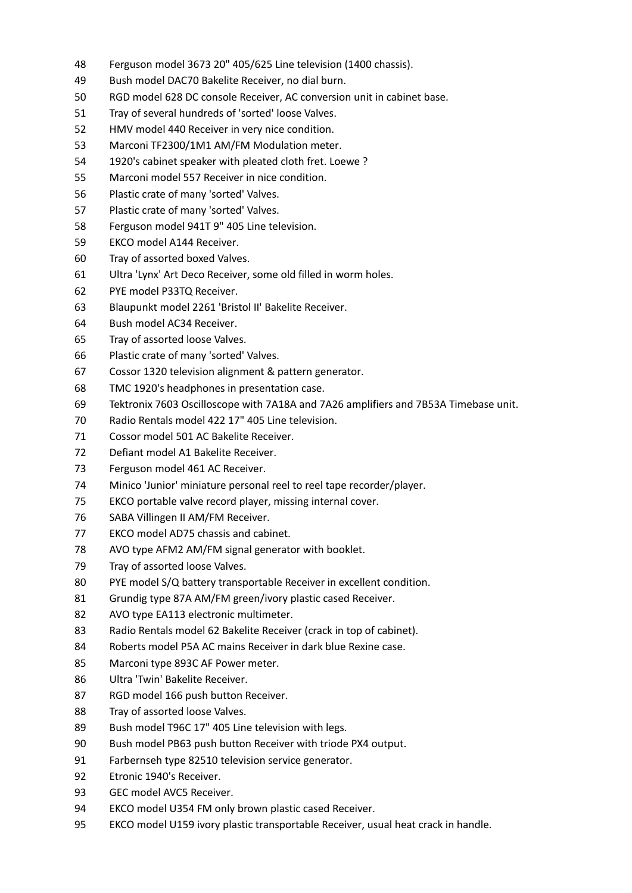- Ferguson model 3673 20" 405/625 Line television (1400 chassis).
- Bush model DAC70 Bakelite Receiver, no dial burn.
- RGD model 628 DC console Receiver, AC conversion unit in cabinet base.
- Tray of several hundreds of 'sorted' loose Valves.
- HMV model 440 Receiver in very nice condition.
- Marconi TF2300/1M1 AM/FM Modulation meter.
- 1920's cabinet speaker with pleated cloth fret. Loewe ?
- Marconi model 557 Receiver in nice condition.
- Plastic crate of many 'sorted' Valves.
- Plastic crate of many 'sorted' Valves.
- Ferguson model 941T 9" 405 Line television.
- EKCO model A144 Receiver.
- Tray of assorted boxed Valves.
- Ultra 'Lynx' Art Deco Receiver, some old filled in worm holes.
- PYE model P33TQ Receiver.
- Blaupunkt model 2261 'Bristol II' Bakelite Receiver.
- Bush model AC34 Receiver.
- Tray of assorted loose Valves.
- Plastic crate of many 'sorted' Valves.
- Cossor 1320 television alignment & pattern generator.
- TMC 1920's headphones in presentation case.
- Tektronix 7603 Oscilloscope with 7A18A and 7A26 amplifiers and 7B53A Timebase unit.
- Radio Rentals model 422 17" 405 Line television.
- Cossor model 501 AC Bakelite Receiver.
- Defiant model A1 Bakelite Receiver.
- Ferguson model 461 AC Receiver.
- Minico 'Junior' miniature personal reel to reel tape recorder/player.
- EKCO portable valve record player, missing internal cover.
- SABA Villingen II AM/FM Receiver.
- EKCO model AD75 chassis and cabinet.
- AVO type AFM2 AM/FM signal generator with booklet.
- Tray of assorted loose Valves.
- PYE model S/Q battery transportable Receiver in excellent condition.
- Grundig type 87A AM/FM green/ivory plastic cased Receiver.
- AVO type EA113 electronic multimeter.
- Radio Rentals model 62 Bakelite Receiver (crack in top of cabinet).
- Roberts model P5A AC mains Receiver in dark blue Rexine case.
- Marconi type 893C AF Power meter.
- Ultra 'Twin' Bakelite Receiver.
- RGD model 166 push button Receiver.
- Tray of assorted loose Valves.
- Bush model T96C 17" 405 Line television with legs.
- Bush model PB63 push button Receiver with triode PX4 output.
- Farbernseh type 82510 television service generator.
- Etronic 1940's Receiver.
- GEC model AVC5 Receiver.
- EKCO model U354 FM only brown plastic cased Receiver.
- EKCO model U159 ivory plastic transportable Receiver, usual heat crack in handle.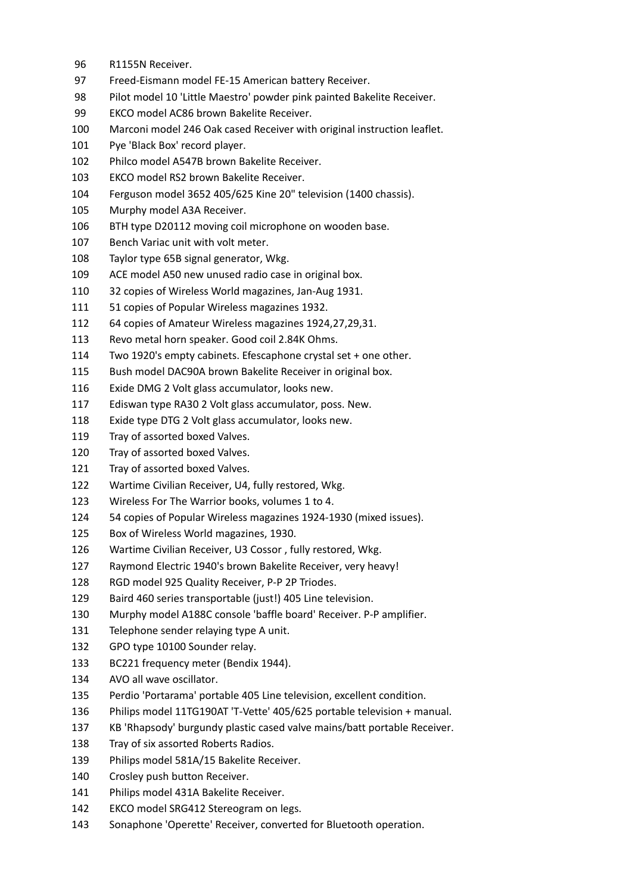- R1155N Receiver.
- Freed-Eismann model FE-15 American battery Receiver.
- Pilot model 10 'Little Maestro' powder pink painted Bakelite Receiver.
- EKCO model AC86 brown Bakelite Receiver.
- Marconi model 246 Oak cased Receiver with original instruction leaflet.
- Pye 'Black Box' record player.
- Philco model A547B brown Bakelite Receiver.
- EKCO model RS2 brown Bakelite Receiver.
- Ferguson model 3652 405/625 Kine 20" television (1400 chassis).
- Murphy model A3A Receiver.
- BTH type D20112 moving coil microphone on wooden base.
- Bench Variac unit with volt meter.
- Taylor type 65B signal generator, Wkg.
- ACE model A50 new unused radio case in original box.
- 32 copies of Wireless World magazines, Jan-Aug 1931.
- 51 copies of Popular Wireless magazines 1932.
- 64 copies of Amateur Wireless magazines 1924,27,29,31.
- Revo metal horn speaker. Good coil 2.84K Ohms.
- Two 1920's empty cabinets. Efescaphone crystal set + one other.
- Bush model DAC90A brown Bakelite Receiver in original box.
- Exide DMG 2 Volt glass accumulator, looks new.
- Ediswan type RA30 2 Volt glass accumulator, poss. New.
- Exide type DTG 2 Volt glass accumulator, looks new.
- Tray of assorted boxed Valves.
- Tray of assorted boxed Valves.
- Tray of assorted boxed Valves.
- Wartime Civilian Receiver, U4, fully restored, Wkg.
- Wireless For The Warrior books, volumes 1 to 4.
- 54 copies of Popular Wireless magazines 1924-1930 (mixed issues).
- Box of Wireless World magazines, 1930.
- Wartime Civilian Receiver, U3 Cossor , fully restored, Wkg.
- Raymond Electric 1940's brown Bakelite Receiver, very heavy!
- RGD model 925 Quality Receiver, P-P 2P Triodes.
- Baird 460 series transportable (just!) 405 Line television.
- Murphy model A188C console 'baffle board' Receiver. P-P amplifier.
- Telephone sender relaying type A unit.
- GPO type 10100 Sounder relay.
- BC221 frequency meter (Bendix 1944).
- AVO all wave oscillator.
- Perdio 'Portarama' portable 405 Line television, excellent condition.
- Philips model 11TG190AT 'T-Vette' 405/625 portable television + manual.
- KB 'Rhapsody' burgundy plastic cased valve mains/batt portable Receiver.
- Tray of six assorted Roberts Radios.
- Philips model 581A/15 Bakelite Receiver.
- Crosley push button Receiver.
- Philips model 431A Bakelite Receiver.
- EKCO model SRG412 Stereogram on legs.
- Sonaphone 'Operette' Receiver, converted for Bluetooth operation.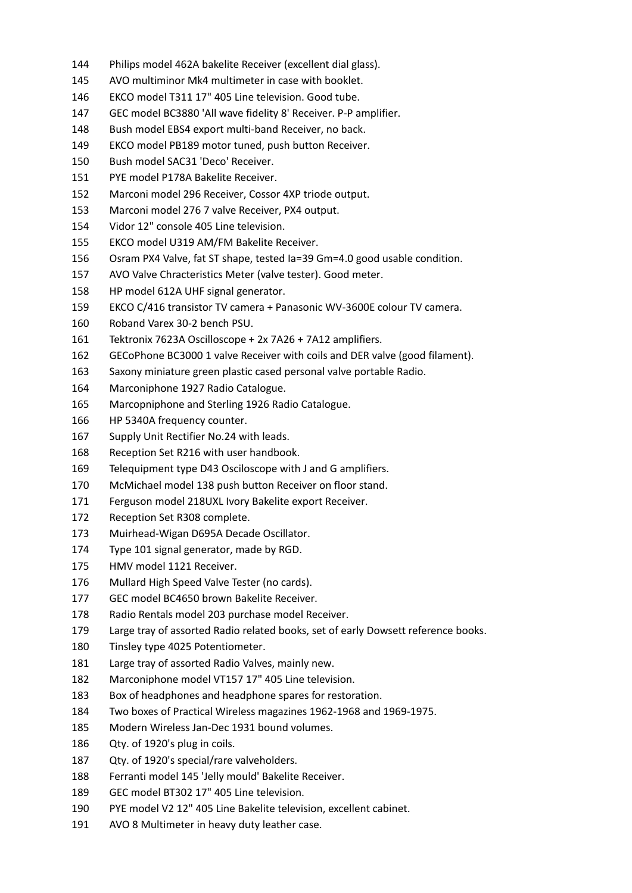- Philips model 462A bakelite Receiver (excellent dial glass).
- AVO multiminor Mk4 multimeter in case with booklet.
- EKCO model T311 17" 405 Line television. Good tube.
- GEC model BC3880 'All wave fidelity 8' Receiver. P-P amplifier.
- Bush model EBS4 export multi-band Receiver, no back.
- EKCO model PB189 motor tuned, push button Receiver.
- Bush model SAC31 'Deco' Receiver.
- PYE model P178A Bakelite Receiver.
- Marconi model 296 Receiver, Cossor 4XP triode output.
- Marconi model 276 7 valve Receiver, PX4 output.
- Vidor 12" console 405 Line television.
- EKCO model U319 AM/FM Bakelite Receiver.
- Osram PX4 Valve, fat ST shape, tested Ia=39 Gm=4.0 good usable condition.
- AVO Valve Chracteristics Meter (valve tester). Good meter.
- HP model 612A UHF signal generator.
- EKCO C/416 transistor TV camera + Panasonic WV-3600E colour TV camera.
- Roband Varex 30-2 bench PSU.
- Tektronix 7623A Oscilloscope + 2x 7A26 + 7A12 amplifiers.
- GECoPhone BC3000 1 valve Receiver with coils and DER valve (good filament).
- Saxony miniature green plastic cased personal valve portable Radio.
- Marconiphone 1927 Radio Catalogue.
- Marcopniphone and Sterling 1926 Radio Catalogue.
- HP 5340A frequency counter.
- Supply Unit Rectifier No.24 with leads.
- Reception Set R216 with user handbook.
- Telequipment type D43 Osciloscope with J and G amplifiers.
- McMichael model 138 push button Receiver on floor stand.
- Ferguson model 218UXL Ivory Bakelite export Receiver.
- Reception Set R308 complete.
- Muirhead-Wigan D695A Decade Oscillator.
- Type 101 signal generator, made by RGD.
- HMV model 1121 Receiver.
- Mullard High Speed Valve Tester (no cards).
- GEC model BC4650 brown Bakelite Receiver.
- Radio Rentals model 203 purchase model Receiver.
- Large tray of assorted Radio related books, set of early Dowsett reference books.
- Tinsley type 4025 Potentiometer.
- Large tray of assorted Radio Valves, mainly new.
- Marconiphone model VT157 17" 405 Line television.
- Box of headphones and headphone spares for restoration.
- Two boxes of Practical Wireless magazines 1962-1968 and 1969-1975.
- Modern Wireless Jan-Dec 1931 bound volumes.
- Qty. of 1920's plug in coils.
- Qty. of 1920's special/rare valveholders.
- Ferranti model 145 'Jelly mould' Bakelite Receiver.
- GEC model BT302 17" 405 Line television.
- PYE model V2 12" 405 Line Bakelite television, excellent cabinet.
- AVO 8 Multimeter in heavy duty leather case.